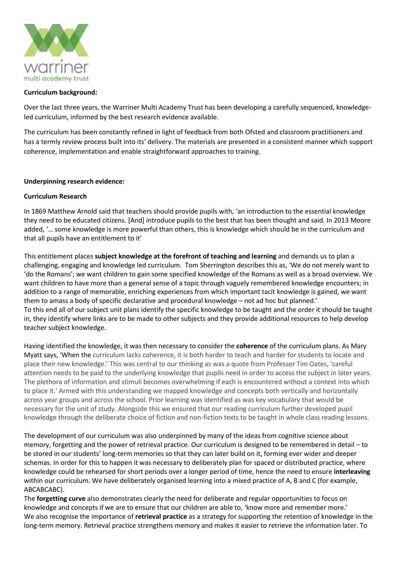

### **Curriculum background:**

Over the last three years, the Warriner Multi Academy Trust has been developing a carefully sequenced, knowledgeled curriculum, informed by the best research evidence available.

The curriculum has been constantly refined in light of feedback from both Ofsted and classroom practitioners and has a termly review process built into its' delivery. The materials are presented in a consistent manner which support coherence, implementation and enable straightforward approaches to training.

#### **Underpinning research evidence:**

#### **Curriculum Research**

In 1869 Matthew Arnold said that teachers should provide pupils with, 'an introduction to the essential knowledge they need to be educated citizens. [And] introduce pupils to the best that has been thought and said. In 2013 Moore added, '… some knowledge is more powerful than others, this is knowledge which should be in the curriculum and that all pupils have an entitlement to it'

This entitlement places **subject knowledge at the forefront of teaching and learning** and demands us to plan a challenging, engaging and knowledge led curriculum. Tom Sherrington describes this as, 'We do not merely want to 'do the Romans'; we want children to gain some specified knowledge of the Romans as well as a broad overview. We want children to have more than a general sense of a topic through vaguely remembered knowledge encounters; in addition to a range of memorable, enriching experiences from which important tacit knowledge is gained, we want them to amass a body of specific declarative and procedural knowledge – not ad hoc but planned.' To this end all of our subject unit plans identify the specific knowledge to be taught and the order it should be taught in, they identify where links are to be made to other subjects and they provide additional resources to help develop teacher subject knowledge.

Having identified the knowledge, it was then necessary to consider the **coherence** of the curriculum plans. As Mary Myatt says, 'When the curriculum lacks coherence, it is both harder to teach and harder for students to locate and place their new knowledge.' This was central to our thinking as was a quote from Professor Tim Oates, 'careful attention needs to be paid to the underlying knowledge that pupils need in order to access the subject in later years. The plethora of information and stimuli becomes overwhelming if each is encountered without a context into which to place it.' Armed with this understanding we mapped knowledge and concepts both vertically and horizontally across year groups and across the school. Prior learning was identified as was key vocabulary that would be necessary for the unit of study. Alongside this we ensured that our reading curriculum further developed pupil knowledge through the deliberate choice of fiction and non-fiction texts to be taught in whole class reading lessons.

The development of our curriculum was also underpinned by many of the ideas from cognitive science about memory, forgetting and the power of retrieval practice. Our curriculum is designed to be remembered in detail – to be stored in our students' long-term memories so that they can later build on it, forming ever wider and deeper schemas. In order for this to happen it was necessary to deliberately plan for spaced or distributed practice, where knowledge could be rehearsed for short periods over a longer period of time, hence the need to ensure **interleaving** within our curriculum. We have deliberately organised learning into a mixed practice of A, B and C (for example, ABCABCABC).

The **forgetting curve** also demonstrates clearly the need for deliberate and regular opportunities to focus on knowledge and concepts if we are to ensure that our children are able to, 'know more and remember more.' We also recognise the importance of **retrieval practice** as a strategy for supporting the retention of knowledge in the long-term memory. Retrieval practice strengthens memory and makes it easier to retrieve the information later. To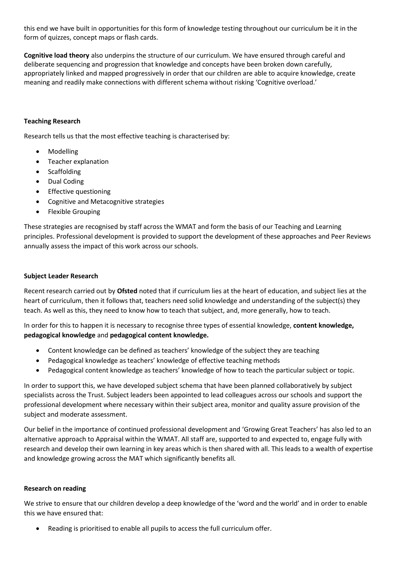this end we have built in opportunities for this form of knowledge testing throughout our curriculum be it in the form of quizzes, concept maps or flash cards.

**Cognitive load theory** also underpins the structure of our curriculum. We have ensured through careful and deliberate sequencing and progression that knowledge and concepts have been broken down carefully, appropriately linked and mapped progressively in order that our children are able to acquire knowledge, create meaning and readily make connections with different schema without risking 'Cognitive overload.'

# **Teaching Research**

Research tells us that the most effective teaching is characterised by:

- Modelling
- Teacher explanation
- Scaffolding
- Dual Coding
- Effective questioning
- Cognitive and Metacognitive strategies
- Flexible Grouping

These strategies are recognised by staff across the WMAT and form the basis of our Teaching and Learning principles. Professional development is provided to support the development of these approaches and Peer Reviews annually assess the impact of this work across our schools.

## **Subject Leader Research**

Recent research carried out by **Ofsted** noted that if curriculum lies at the heart of education, and subject lies at the heart of curriculum, then it follows that, teachers need solid knowledge and understanding of the subject(s) they teach. As well as this, they need to know how to teach that subject, and, more generally, how to teach.

In order for this to happen it is necessary to recognise three types of essential knowledge, **content knowledge, pedagogical knowledge** and **pedagogical content knowledge.** 

- Content knowledge can be defined as teachers' knowledge of the subject they are teaching
- Pedagogical knowledge as teachers' knowledge of effective teaching methods
- Pedagogical content knowledge as teachers' knowledge of how to teach the particular subject or topic.

In order to support this, we have developed subject schema that have been planned collaboratively by subject specialists across the Trust. Subject leaders been appointed to lead colleagues across our schools and support the professional development where necessary within their subject area, monitor and quality assure provision of the subject and moderate assessment.

Our belief in the importance of continued professional development and 'Growing Great Teachers' has also led to an alternative approach to Appraisal within the WMAT. All staff are, supported to and expected to, engage fully with research and develop their own learning in key areas which is then shared with all. This leads to a wealth of expertise and knowledge growing across the MAT which significantly benefits all.

### **Research on reading**

We strive to ensure that our children develop a deep knowledge of the 'word and the world' and in order to enable this we have ensured that:

Reading is prioritised to enable all pupils to access the full curriculum offer.